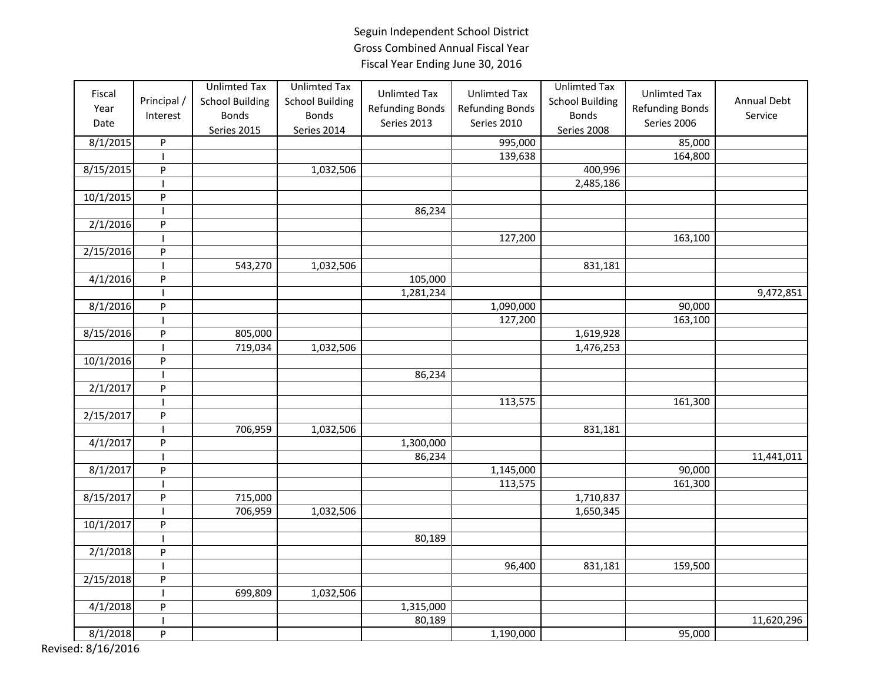| Fiscal<br>Year<br>Date<br>8/1/2015 | Principal /<br>Interest<br>$\sf P$ | <b>Unlimted Tax</b><br><b>School Building</b><br><b>Bonds</b><br>Series 2015 | <b>Unlimted Tax</b><br><b>School Building</b><br><b>Bonds</b><br>Series 2014 | <b>Unlimted Tax</b><br><b>Refunding Bonds</b><br>Series 2013 | <b>Unlimted Tax</b><br><b>Refunding Bonds</b><br>Series 2010<br>995,000 | <b>Unlimted Tax</b><br><b>School Building</b><br><b>Bonds</b><br><b>Series 2008</b> | <b>Unlimted Tax</b><br><b>Refunding Bonds</b><br>Series 2006<br>85,000 | Annual Debt<br>Service |
|------------------------------------|------------------------------------|------------------------------------------------------------------------------|------------------------------------------------------------------------------|--------------------------------------------------------------|-------------------------------------------------------------------------|-------------------------------------------------------------------------------------|------------------------------------------------------------------------|------------------------|
|                                    |                                    |                                                                              |                                                                              |                                                              |                                                                         |                                                                                     |                                                                        |                        |
|                                    | <b>I</b>                           |                                                                              |                                                                              |                                                              | 139,638                                                                 |                                                                                     | 164,800                                                                |                        |
| 8/15/2015                          | P                                  |                                                                              | 1,032,506                                                                    |                                                              |                                                                         | 400,996                                                                             |                                                                        |                        |
|                                    |                                    |                                                                              |                                                                              |                                                              |                                                                         | 2,485,186                                                                           |                                                                        |                        |
| 10/1/2015                          | ${\sf P}$                          |                                                                              |                                                                              |                                                              |                                                                         |                                                                                     |                                                                        |                        |
|                                    |                                    |                                                                              |                                                                              | 86,234                                                       |                                                                         |                                                                                     |                                                                        |                        |
| 2/1/2016                           | $\sf P$                            |                                                                              |                                                                              |                                                              |                                                                         |                                                                                     |                                                                        |                        |
|                                    |                                    |                                                                              |                                                                              |                                                              | 127,200                                                                 |                                                                                     | 163,100                                                                |                        |
| 2/15/2016                          | $\sf P$                            |                                                                              |                                                                              |                                                              |                                                                         |                                                                                     |                                                                        |                        |
|                                    |                                    | 543,270                                                                      | 1,032,506                                                                    |                                                              |                                                                         | 831,181                                                                             |                                                                        |                        |
| 4/1/2016                           | ${\sf P}$                          |                                                                              |                                                                              | 105,000                                                      |                                                                         |                                                                                     |                                                                        |                        |
|                                    |                                    |                                                                              |                                                                              | 1,281,234                                                    |                                                                         |                                                                                     |                                                                        | 9,472,851              |
| 8/1/2016                           | P                                  |                                                                              |                                                                              |                                                              | 1,090,000                                                               |                                                                                     | 90,000                                                                 |                        |
|                                    |                                    |                                                                              |                                                                              |                                                              | 127,200                                                                 |                                                                                     | 163,100                                                                |                        |
| 8/15/2016                          | ${\sf P}$                          | 805,000                                                                      |                                                                              |                                                              |                                                                         | 1,619,928                                                                           |                                                                        |                        |
|                                    |                                    | 719,034                                                                      | 1,032,506                                                                    |                                                              |                                                                         | 1,476,253                                                                           |                                                                        |                        |
| 10/1/2016                          | $\sf P$                            |                                                                              |                                                                              |                                                              |                                                                         |                                                                                     |                                                                        |                        |
|                                    | <b>I</b>                           |                                                                              |                                                                              | 86,234                                                       |                                                                         |                                                                                     |                                                                        |                        |
| 2/1/2017                           | $\mathsf{P}$                       |                                                                              |                                                                              |                                                              |                                                                         |                                                                                     |                                                                        |                        |
|                                    |                                    |                                                                              |                                                                              |                                                              | 113,575                                                                 |                                                                                     | 161,300                                                                |                        |
| 2/15/2017                          | P                                  |                                                                              |                                                                              |                                                              |                                                                         |                                                                                     |                                                                        |                        |
|                                    |                                    | 706,959                                                                      | 1,032,506                                                                    |                                                              |                                                                         | 831,181                                                                             |                                                                        |                        |
| 4/1/2017                           | P                                  |                                                                              |                                                                              | 1,300,000                                                    |                                                                         |                                                                                     |                                                                        |                        |
|                                    |                                    |                                                                              |                                                                              | 86,234                                                       |                                                                         |                                                                                     |                                                                        | 11,441,011             |
| 8/1/2017                           | P                                  |                                                                              |                                                                              |                                                              | 1,145,000                                                               |                                                                                     | 90,000                                                                 |                        |
|                                    | ı                                  |                                                                              |                                                                              |                                                              | 113,575                                                                 |                                                                                     | 161,300                                                                |                        |
| 8/15/2017                          | $\sf P$                            | 715,000                                                                      |                                                                              |                                                              |                                                                         | 1,710,837                                                                           |                                                                        |                        |
|                                    |                                    | 706,959                                                                      | 1,032,506                                                                    |                                                              |                                                                         | 1,650,345                                                                           |                                                                        |                        |
| 10/1/2017                          | P                                  |                                                                              |                                                                              |                                                              |                                                                         |                                                                                     |                                                                        |                        |
|                                    |                                    |                                                                              |                                                                              | 80,189                                                       |                                                                         |                                                                                     |                                                                        |                        |
| 2/1/2018                           | ${\sf P}$                          |                                                                              |                                                                              |                                                              |                                                                         |                                                                                     |                                                                        |                        |
|                                    |                                    |                                                                              |                                                                              |                                                              | 96,400                                                                  | 831,181                                                                             | 159,500                                                                |                        |
| 2/15/2018                          | $\sf P$                            |                                                                              |                                                                              |                                                              |                                                                         |                                                                                     |                                                                        |                        |
|                                    |                                    | 699,809                                                                      | 1,032,506                                                                    |                                                              |                                                                         |                                                                                     |                                                                        |                        |
| 4/1/2018                           | ${\sf P}$                          |                                                                              |                                                                              | 1,315,000                                                    |                                                                         |                                                                                     |                                                                        |                        |
|                                    |                                    |                                                                              |                                                                              | 80,189                                                       |                                                                         |                                                                                     |                                                                        | 11,620,296             |
| 8/1/2018                           | P                                  |                                                                              |                                                                              |                                                              | 1,190,000                                                               |                                                                                     | 95,000                                                                 |                        |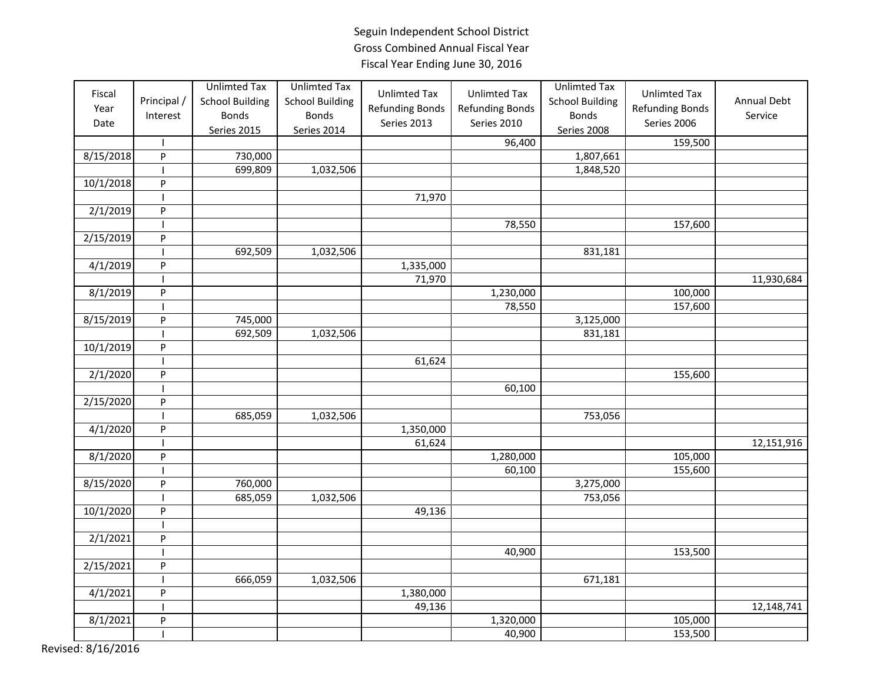| Fiscal<br>Year<br>Date | Principal /<br>Interest   | <b>Unlimted Tax</b><br><b>School Building</b><br><b>Bonds</b> | <b>Unlimted Tax</b><br><b>School Building</b><br><b>Bonds</b> | <b>Unlimted Tax</b><br><b>Refunding Bonds</b><br>Series 2013 | <b>Unlimted Tax</b><br><b>Refunding Bonds</b><br>Series 2010 | <b>Unlimted Tax</b><br><b>School Building</b><br><b>Bonds</b> | <b>Unlimted Tax</b><br><b>Refunding Bonds</b><br>Series 2006 | Annual Debt<br>Service |
|------------------------|---------------------------|---------------------------------------------------------------|---------------------------------------------------------------|--------------------------------------------------------------|--------------------------------------------------------------|---------------------------------------------------------------|--------------------------------------------------------------|------------------------|
|                        |                           | Series 2015                                                   | <b>Series 2014</b>                                            |                                                              |                                                              | <b>Series 2008</b>                                            |                                                              |                        |
|                        |                           |                                                               |                                                               |                                                              | 96,400                                                       |                                                               | 159,500                                                      |                        |
| 8/15/2018              | P                         | 730,000                                                       |                                                               |                                                              |                                                              | 1,807,661                                                     |                                                              |                        |
|                        |                           | 699,809                                                       | 1,032,506                                                     |                                                              |                                                              | 1,848,520                                                     |                                                              |                        |
| 10/1/2018              | ${\sf P}$                 |                                                               |                                                               |                                                              |                                                              |                                                               |                                                              |                        |
|                        | $\mathbf{I}$              |                                                               |                                                               | 71,970                                                       |                                                              |                                                               |                                                              |                        |
| 2/1/2019               | ${\sf P}$                 |                                                               |                                                               |                                                              |                                                              |                                                               |                                                              |                        |
|                        |                           |                                                               |                                                               |                                                              | 78,550                                                       |                                                               | 157,600                                                      |                        |
| 2/15/2019              | P                         |                                                               |                                                               |                                                              |                                                              |                                                               |                                                              |                        |
|                        |                           | 692,509                                                       | 1,032,506                                                     |                                                              |                                                              | 831,181                                                       |                                                              |                        |
| 4/1/2019               | $\sf P$                   |                                                               |                                                               | 1,335,000                                                    |                                                              |                                                               |                                                              |                        |
|                        |                           |                                                               |                                                               | 71,970                                                       |                                                              |                                                               |                                                              | 11,930,684             |
| 8/1/2019               | ${\sf P}$                 |                                                               |                                                               |                                                              | 1,230,000                                                    |                                                               | 100,000                                                      |                        |
|                        |                           |                                                               |                                                               |                                                              | 78,550                                                       |                                                               | 157,600                                                      |                        |
| 8/15/2019              | P                         | 745,000                                                       |                                                               |                                                              |                                                              | 3,125,000                                                     |                                                              |                        |
|                        |                           | 692,509                                                       | 1,032,506                                                     |                                                              |                                                              | 831,181                                                       |                                                              |                        |
| 10/1/2019              | ${\sf P}$                 |                                                               |                                                               |                                                              |                                                              |                                                               |                                                              |                        |
|                        |                           |                                                               |                                                               | 61,624                                                       |                                                              |                                                               |                                                              |                        |
| 2/1/2020               | P                         |                                                               |                                                               |                                                              |                                                              |                                                               | 155,600                                                      |                        |
|                        |                           |                                                               |                                                               |                                                              | 60,100                                                       |                                                               |                                                              |                        |
| 2/15/2020              | $\boldsymbol{\mathsf{P}}$ |                                                               |                                                               |                                                              |                                                              |                                                               |                                                              |                        |
|                        |                           | 685,059                                                       | 1,032,506                                                     |                                                              |                                                              | 753,056                                                       |                                                              |                        |
| 4/1/2020               | P                         |                                                               |                                                               | 1,350,000                                                    |                                                              |                                                               |                                                              |                        |
|                        |                           |                                                               |                                                               | 61,624                                                       |                                                              |                                                               |                                                              | 12,151,916             |
| 8/1/2020               | P                         |                                                               |                                                               |                                                              | 1,280,000                                                    |                                                               | 105,000                                                      |                        |
|                        |                           |                                                               |                                                               |                                                              | 60,100                                                       |                                                               | 155,600                                                      |                        |
| 8/15/2020              | P                         | 760,000                                                       |                                                               |                                                              |                                                              | 3,275,000                                                     |                                                              |                        |
|                        |                           | 685,059                                                       | 1,032,506                                                     |                                                              |                                                              | 753,056                                                       |                                                              |                        |
| 10/1/2020              | P                         |                                                               |                                                               | 49,136                                                       |                                                              |                                                               |                                                              |                        |
|                        |                           |                                                               |                                                               |                                                              |                                                              |                                                               |                                                              |                        |
| 2/1/2021               | $\boldsymbol{\mathsf{P}}$ |                                                               |                                                               |                                                              |                                                              |                                                               |                                                              |                        |
|                        | $\mathbf{I}$              |                                                               |                                                               |                                                              | 40,900                                                       |                                                               | 153,500                                                      |                        |
| 2/15/2021              | ${\sf P}$                 |                                                               |                                                               |                                                              |                                                              |                                                               |                                                              |                        |
|                        |                           | 666,059                                                       | 1,032,506                                                     |                                                              |                                                              | 671,181                                                       |                                                              |                        |
| 4/1/2021               | P                         |                                                               |                                                               | 1,380,000                                                    |                                                              |                                                               |                                                              |                        |
|                        |                           |                                                               |                                                               | 49,136                                                       |                                                              |                                                               |                                                              | 12,148,741             |
| 8/1/2021               | $\boldsymbol{\mathsf{P}}$ |                                                               |                                                               |                                                              | 1,320,000                                                    |                                                               | 105,000                                                      |                        |
|                        | $\overline{1}$            |                                                               |                                                               |                                                              | 40,900                                                       |                                                               | 153,500                                                      |                        |
|                        |                           |                                                               |                                                               |                                                              |                                                              |                                                               |                                                              |                        |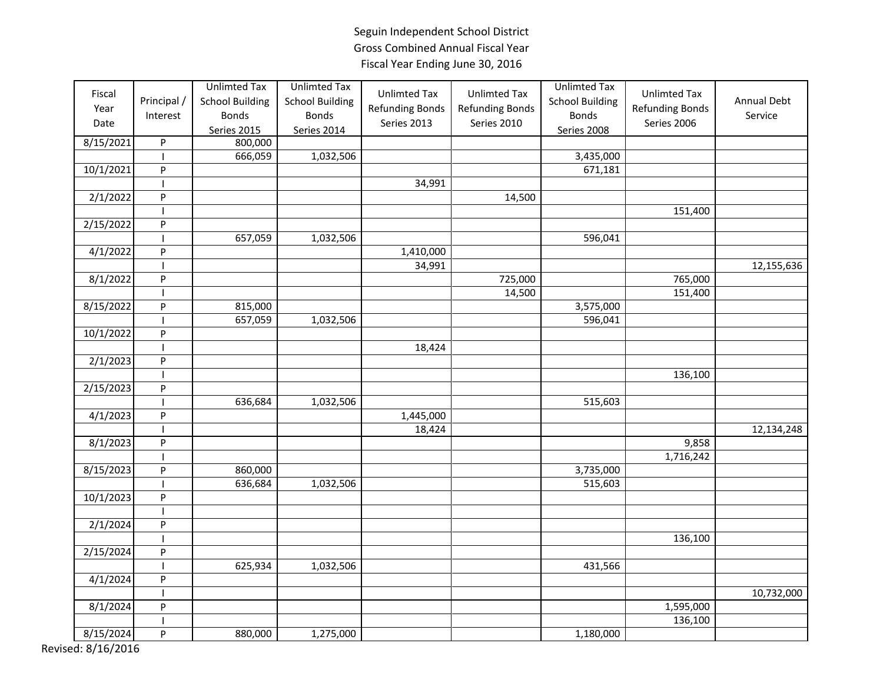| Fiscal    |                           | <b>Unlimted Tax</b>    | <b>Unlimted Tax</b>    | <b>Unlimted Tax</b>    | <b>Unlimted Tax</b>    | <b>Unlimted Tax</b>    | <b>Unlimted Tax</b>    |             |
|-----------|---------------------------|------------------------|------------------------|------------------------|------------------------|------------------------|------------------------|-------------|
| Year      | Principal /               | <b>School Building</b> | <b>School Building</b> |                        |                        | <b>School Building</b> |                        | Annual Debt |
|           | Interest                  | <b>Bonds</b>           | <b>Bonds</b>           | <b>Refunding Bonds</b> | <b>Refunding Bonds</b> | <b>Bonds</b>           | <b>Refunding Bonds</b> | Service     |
| Date      |                           | Series 2015            | Series 2014            | Series 2013            | Series 2010            | Series 2008            | Series 2006            |             |
| 8/15/2021 | ${\sf P}$                 | 800,000                |                        |                        |                        |                        |                        |             |
|           |                           | 666,059                | 1,032,506              |                        |                        | 3,435,000              |                        |             |
| 10/1/2021 | P                         |                        |                        |                        |                        | 671,181                |                        |             |
|           | $\overline{\phantom{a}}$  |                        |                        | 34,991                 |                        |                        |                        |             |
| 2/1/2022  | ${\sf P}$                 |                        |                        |                        | 14,500                 |                        |                        |             |
|           | $\overline{\phantom{a}}$  |                        |                        |                        |                        |                        | 151,400                |             |
| 2/15/2022 | ${\sf P}$                 |                        |                        |                        |                        |                        |                        |             |
|           |                           | 657,059                | 1,032,506              |                        |                        | 596,041                |                        |             |
| 4/1/2022  | $\boldsymbol{\mathsf{P}}$ |                        |                        | 1,410,000              |                        |                        |                        |             |
|           |                           |                        |                        | 34,991                 |                        |                        |                        | 12,155,636  |
| 8/1/2022  | P                         |                        |                        |                        | 725,000                |                        | 765,000                |             |
|           |                           |                        |                        |                        | 14,500                 |                        | 151,400                |             |
| 8/15/2022 | ${\sf P}$                 | 815,000                |                        |                        |                        | 3,575,000              |                        |             |
|           |                           | 657,059                | 1,032,506              |                        |                        | 596,041                |                        |             |
| 10/1/2022 | ${\sf P}$                 |                        |                        |                        |                        |                        |                        |             |
|           | I.                        |                        |                        | 18,424                 |                        |                        |                        |             |
| 2/1/2023  | P                         |                        |                        |                        |                        |                        |                        |             |
|           |                           |                        |                        |                        |                        |                        | 136,100                |             |
| 2/15/2023 | $\mathsf{P}$              |                        |                        |                        |                        |                        |                        |             |
|           |                           | 636,684                | 1,032,506              |                        |                        | 515,603                |                        |             |
| 4/1/2023  | P                         |                        |                        | 1,445,000              |                        |                        |                        |             |
|           |                           |                        |                        | 18,424                 |                        |                        |                        | 12,134,248  |
| 8/1/2023  | P                         |                        |                        |                        |                        |                        | 9,858                  |             |
|           |                           |                        |                        |                        |                        |                        | 1,716,242              |             |
| 8/15/2023 | ${\sf P}$                 | 860,000                |                        |                        |                        | 3,735,000              |                        |             |
|           |                           | 636,684                | 1,032,506              |                        |                        | 515,603                |                        |             |
| 10/1/2023 | ${\sf P}$                 |                        |                        |                        |                        |                        |                        |             |
|           |                           |                        |                        |                        |                        |                        |                        |             |
| 2/1/2024  | ${\sf P}$                 |                        |                        |                        |                        |                        |                        |             |
|           |                           |                        |                        |                        |                        |                        | 136,100                |             |
| 2/15/2024 | P                         |                        |                        |                        |                        |                        |                        |             |
|           |                           | 625,934                | 1,032,506              |                        |                        | 431,566                |                        |             |
| 4/1/2024  | P                         |                        |                        |                        |                        |                        |                        |             |
|           |                           |                        |                        |                        |                        |                        |                        | 10,732,000  |
| 8/1/2024  | P                         |                        |                        |                        |                        |                        | 1,595,000              |             |
|           |                           |                        |                        |                        |                        |                        | 136,100                |             |
| 8/15/2024 | P                         | 880,000                | 1,275,000              |                        |                        | 1,180,000              |                        |             |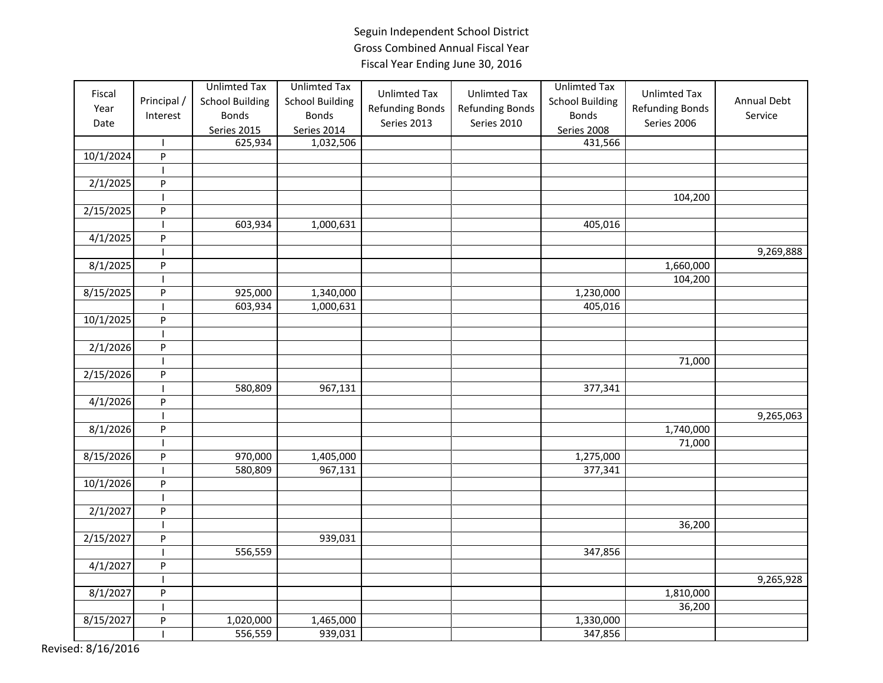| Fiscal<br>Year<br>Date | Principal /<br>Interest   | <b>Unlimted Tax</b><br><b>School Building</b><br><b>Bonds</b><br>Series 2015<br>625,934 | <b>Unlimted Tax</b><br><b>School Building</b><br><b>Bonds</b><br>Series 2014 | <b>Unlimted Tax</b><br><b>Refunding Bonds</b><br>Series 2013 | <b>Unlimted Tax</b><br>Refunding Bonds<br>Series 2010 | <b>Unlimted Tax</b><br><b>School Building</b><br><b>Bonds</b><br>Series 2008 | <b>Unlimted Tax</b><br><b>Refunding Bonds</b><br>Series 2006 | Annual Debt<br>Service |
|------------------------|---------------------------|-----------------------------------------------------------------------------------------|------------------------------------------------------------------------------|--------------------------------------------------------------|-------------------------------------------------------|------------------------------------------------------------------------------|--------------------------------------------------------------|------------------------|
| 10/1/2024              | $\mathbf{I}$<br>${\sf P}$ |                                                                                         | 1,032,506                                                                    |                                                              |                                                       | 431,566                                                                      |                                                              |                        |
|                        |                           |                                                                                         |                                                                              |                                                              |                                                       |                                                                              |                                                              |                        |
|                        | P                         |                                                                                         |                                                                              |                                                              |                                                       |                                                                              |                                                              |                        |
| 2/1/2025               | $\overline{\phantom{a}}$  |                                                                                         |                                                                              |                                                              |                                                       |                                                                              | 104,200                                                      |                        |
|                        |                           |                                                                                         |                                                                              |                                                              |                                                       |                                                                              |                                                              |                        |
| 2/15/2025              | P                         |                                                                                         |                                                                              |                                                              |                                                       |                                                                              |                                                              |                        |
|                        |                           | 603,934                                                                                 | 1,000,631                                                                    |                                                              |                                                       | 405,016                                                                      |                                                              |                        |
| 4/1/2025               | P                         |                                                                                         |                                                                              |                                                              |                                                       |                                                                              |                                                              |                        |
|                        |                           |                                                                                         |                                                                              |                                                              |                                                       |                                                                              |                                                              | 9,269,888              |
| 8/1/2025               | $\sf P$                   |                                                                                         |                                                                              |                                                              |                                                       |                                                                              | 1,660,000                                                    |                        |
|                        | $\overline{\phantom{a}}$  |                                                                                         |                                                                              |                                                              |                                                       |                                                                              | 104,200                                                      |                        |
| 8/15/2025              | ${\sf P}$                 | 925,000                                                                                 | 1,340,000                                                                    |                                                              |                                                       | 1,230,000                                                                    |                                                              |                        |
|                        |                           | 603,934                                                                                 | 1,000,631                                                                    |                                                              |                                                       | 405,016                                                                      |                                                              |                        |
| 10/1/2025              | P                         |                                                                                         |                                                                              |                                                              |                                                       |                                                                              |                                                              |                        |
|                        |                           |                                                                                         |                                                                              |                                                              |                                                       |                                                                              |                                                              |                        |
| 2/1/2026               | P                         |                                                                                         |                                                                              |                                                              |                                                       |                                                                              |                                                              |                        |
|                        |                           |                                                                                         |                                                                              |                                                              |                                                       |                                                                              | 71,000                                                       |                        |
| 2/15/2026              | ${\sf P}$                 |                                                                                         |                                                                              |                                                              |                                                       |                                                                              |                                                              |                        |
|                        |                           | 580,809                                                                                 | 967,131                                                                      |                                                              |                                                       | 377,341                                                                      |                                                              |                        |
| 4/1/2026               | $\mathsf{P}$              |                                                                                         |                                                                              |                                                              |                                                       |                                                                              |                                                              |                        |
|                        |                           |                                                                                         |                                                                              |                                                              |                                                       |                                                                              |                                                              | 9,265,063              |
| 8/1/2026               | P                         |                                                                                         |                                                                              |                                                              |                                                       |                                                                              | 1,740,000                                                    |                        |
|                        | $\mathbf{I}$              |                                                                                         |                                                                              |                                                              |                                                       |                                                                              | 71,000                                                       |                        |
| 8/15/2026              | P                         | 970,000                                                                                 | 1,405,000                                                                    |                                                              |                                                       | 1,275,000                                                                    |                                                              |                        |
|                        |                           | 580,809                                                                                 | 967,131                                                                      |                                                              |                                                       | 377,341                                                                      |                                                              |                        |
| 10/1/2026              | P                         |                                                                                         |                                                                              |                                                              |                                                       |                                                                              |                                                              |                        |
|                        | $\mathbf{I}$              |                                                                                         |                                                                              |                                                              |                                                       |                                                                              |                                                              |                        |
| 2/1/2027               | P                         |                                                                                         |                                                                              |                                                              |                                                       |                                                                              |                                                              |                        |
|                        |                           |                                                                                         |                                                                              |                                                              |                                                       |                                                                              | 36,200                                                       |                        |
| $\frac{1}{2}/15/2027$  | P                         |                                                                                         | 939,031                                                                      |                                                              |                                                       |                                                                              |                                                              |                        |
|                        |                           | 556,559                                                                                 |                                                                              |                                                              |                                                       | 347,856                                                                      |                                                              |                        |
| 4/1/2027               | P                         |                                                                                         |                                                                              |                                                              |                                                       |                                                                              |                                                              |                        |
|                        |                           |                                                                                         |                                                                              |                                                              |                                                       |                                                                              |                                                              | 9,265,928              |
| 8/1/2027               | P                         |                                                                                         |                                                                              |                                                              |                                                       |                                                                              | 1,810,000                                                    |                        |
|                        |                           |                                                                                         |                                                                              |                                                              |                                                       |                                                                              | 36,200                                                       |                        |
| 8/15/2027              | P                         | 1,020,000                                                                               | 1,465,000                                                                    |                                                              |                                                       | 1,330,000                                                                    |                                                              |                        |
|                        | $\overline{\phantom{a}}$  | 556,559                                                                                 | 939,031                                                                      |                                                              |                                                       | 347,856                                                                      |                                                              |                        |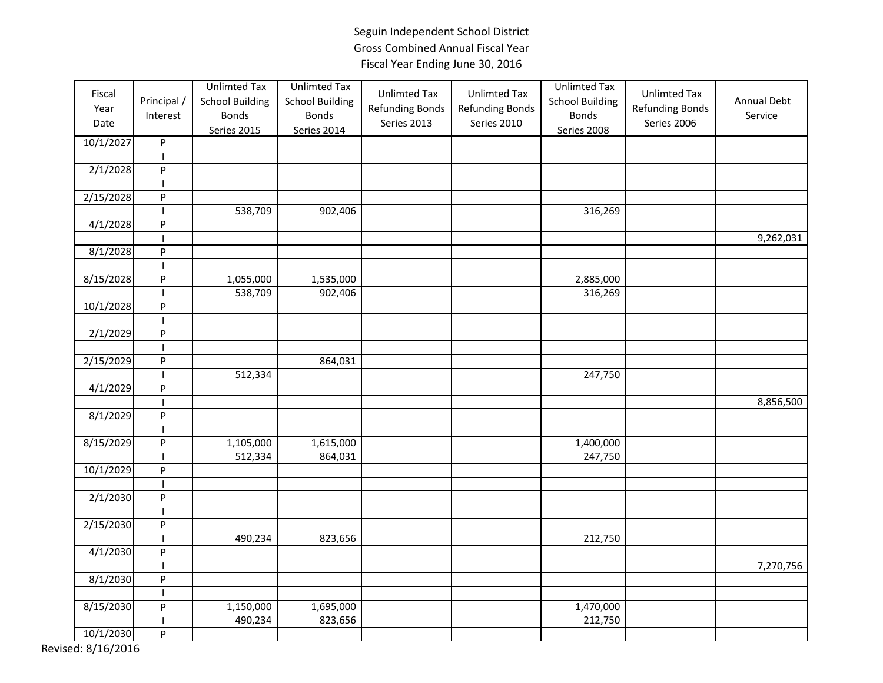| Fiscal<br>Year<br>Date | Principal /<br>Interest  | <b>Unlimted Tax</b><br><b>School Building</b><br><b>Bonds</b><br>Series 2015 | <b>Unlimted Tax</b><br><b>School Building</b><br><b>Bonds</b><br>Series 2014 | <b>Unlimted Tax</b><br><b>Refunding Bonds</b><br>Series 2013 | <b>Unlimted Tax</b><br><b>Refunding Bonds</b><br>Series 2010 | <b>Unlimted Tax</b><br><b>School Building</b><br><b>Bonds</b><br>Series 2008 | <b>Unlimted Tax</b><br><b>Refunding Bonds</b><br>Series 2006 | Annual Debt<br>Service |
|------------------------|--------------------------|------------------------------------------------------------------------------|------------------------------------------------------------------------------|--------------------------------------------------------------|--------------------------------------------------------------|------------------------------------------------------------------------------|--------------------------------------------------------------|------------------------|
| 10/1/2027              | ${\sf P}$                |                                                                              |                                                                              |                                                              |                                                              |                                                                              |                                                              |                        |
|                        |                          |                                                                              |                                                                              |                                                              |                                                              |                                                                              |                                                              |                        |
| 2/1/2028               | P                        |                                                                              |                                                                              |                                                              |                                                              |                                                                              |                                                              |                        |
|                        | $\overline{\phantom{a}}$ |                                                                              |                                                                              |                                                              |                                                              |                                                                              |                                                              |                        |
| 2/15/2028              | ${\sf P}$                |                                                                              |                                                                              |                                                              |                                                              |                                                                              |                                                              |                        |
|                        |                          | 538,709                                                                      | 902,406                                                                      |                                                              |                                                              | 316,269                                                                      |                                                              |                        |
| 4/1/2028               | P                        |                                                                              |                                                                              |                                                              |                                                              |                                                                              |                                                              |                        |
|                        |                          |                                                                              |                                                                              |                                                              |                                                              |                                                                              |                                                              | 9,262,031              |
| 8/1/2028               | P                        |                                                                              |                                                                              |                                                              |                                                              |                                                                              |                                                              |                        |
|                        |                          |                                                                              |                                                                              |                                                              |                                                              |                                                                              |                                                              |                        |
| $\frac{8}{15}/2028$    | ${\sf P}$                | 1,055,000                                                                    | 1,535,000                                                                    |                                                              |                                                              | 2,885,000                                                                    |                                                              |                        |
|                        |                          | 538,709                                                                      | 902,406                                                                      |                                                              |                                                              | 316,269                                                                      |                                                              |                        |
| 10/1/2028              | P                        |                                                                              |                                                                              |                                                              |                                                              |                                                                              |                                                              |                        |
|                        |                          |                                                                              |                                                                              |                                                              |                                                              |                                                                              |                                                              |                        |
| 2/1/2029               | ${\sf P}$                |                                                                              |                                                                              |                                                              |                                                              |                                                                              |                                                              |                        |
|                        | $\overline{\phantom{a}}$ |                                                                              |                                                                              |                                                              |                                                              |                                                                              |                                                              |                        |
| 2/15/2029              | P                        |                                                                              | 864,031                                                                      |                                                              |                                                              |                                                                              |                                                              |                        |
|                        |                          | 512,334                                                                      |                                                                              |                                                              |                                                              | 247,750                                                                      |                                                              |                        |
| 4/1/2029               | P                        |                                                                              |                                                                              |                                                              |                                                              |                                                                              |                                                              |                        |
|                        |                          |                                                                              |                                                                              |                                                              |                                                              |                                                                              |                                                              | 8,856,500              |
| 8/1/2029               | P                        |                                                                              |                                                                              |                                                              |                                                              |                                                                              |                                                              |                        |
|                        | $\overline{\phantom{a}}$ |                                                                              |                                                                              |                                                              |                                                              |                                                                              |                                                              |                        |
| 8/15/2029              | P                        | 1,105,000                                                                    | 1,615,000                                                                    |                                                              |                                                              | 1,400,000                                                                    |                                                              |                        |
|                        |                          | 512,334                                                                      | 864,031                                                                      |                                                              |                                                              | 247,750                                                                      |                                                              |                        |
| 10/1/2029              | P                        |                                                                              |                                                                              |                                                              |                                                              |                                                                              |                                                              |                        |
|                        | $\mathbf{I}$             |                                                                              |                                                                              |                                                              |                                                              |                                                                              |                                                              |                        |
| 2/1/2030               | P                        |                                                                              |                                                                              |                                                              |                                                              |                                                                              |                                                              |                        |
|                        |                          |                                                                              |                                                                              |                                                              |                                                              |                                                                              |                                                              |                        |
| 2/15/2030              | P                        |                                                                              |                                                                              |                                                              |                                                              |                                                                              |                                                              |                        |
|                        |                          | 490,234                                                                      | 823,656                                                                      |                                                              |                                                              | 212,750                                                                      |                                                              |                        |
| 4/1/2030               | P                        |                                                                              |                                                                              |                                                              |                                                              |                                                                              |                                                              |                        |
|                        | $\overline{\phantom{a}}$ |                                                                              |                                                                              |                                                              |                                                              |                                                                              |                                                              | 7,270,756              |
| 8/1/2030               | P                        |                                                                              |                                                                              |                                                              |                                                              |                                                                              |                                                              |                        |
|                        |                          |                                                                              |                                                                              |                                                              |                                                              |                                                                              |                                                              |                        |
| 8/15/2030              | P                        | 1,150,000                                                                    | 1,695,000                                                                    |                                                              |                                                              | 1,470,000                                                                    |                                                              |                        |
|                        |                          | 490,234                                                                      | 823,656                                                                      |                                                              |                                                              | 212,750                                                                      |                                                              |                        |
| 10/1/2030              | P                        |                                                                              |                                                                              |                                                              |                                                              |                                                                              |                                                              |                        |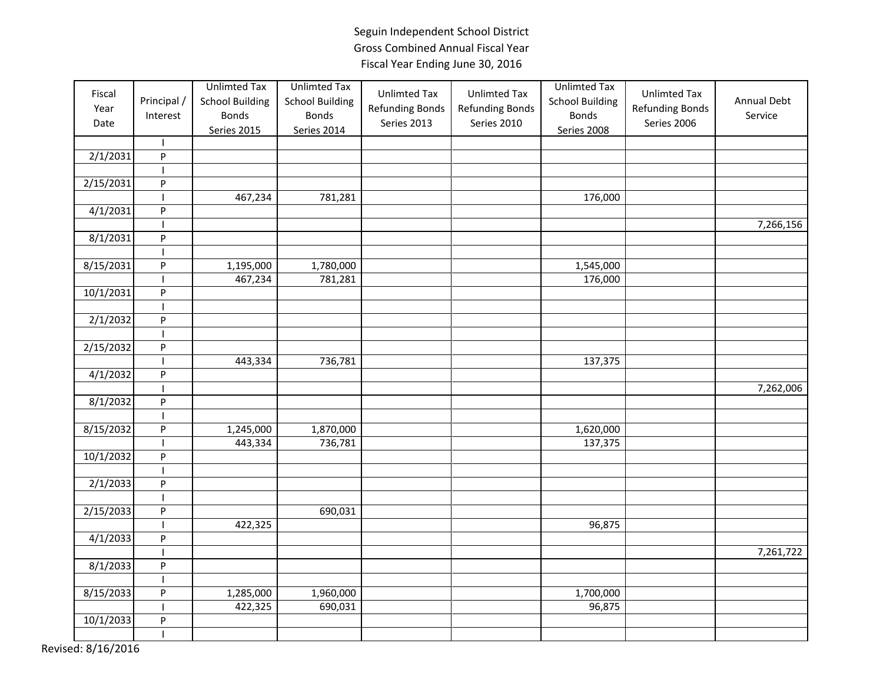| Fiscal<br>Year<br>Date | Principal /<br>Interest<br>$\mathbf{I}$ | <b>Unlimted Tax</b><br><b>School Building</b><br><b>Bonds</b><br><b>Series 2015</b> | <b>Unlimted Tax</b><br><b>School Building</b><br><b>Bonds</b><br>Series 2014 | <b>Unlimted Tax</b><br><b>Refunding Bonds</b><br>Series 2013 | <b>Unlimted Tax</b><br>Refunding Bonds<br>Series 2010 | <b>Unlimted Tax</b><br><b>School Building</b><br><b>Bonds</b><br>Series 2008 | <b>Unlimted Tax</b><br><b>Refunding Bonds</b><br>Series 2006 | Annual Debt<br>Service |
|------------------------|-----------------------------------------|-------------------------------------------------------------------------------------|------------------------------------------------------------------------------|--------------------------------------------------------------|-------------------------------------------------------|------------------------------------------------------------------------------|--------------------------------------------------------------|------------------------|
| 2/1/2031               | $\sf P$                                 |                                                                                     |                                                                              |                                                              |                                                       |                                                                              |                                                              |                        |
|                        | $\mathbf{I}$                            |                                                                                     |                                                                              |                                                              |                                                       |                                                                              |                                                              |                        |
| 2/15/2031              | P                                       |                                                                                     |                                                                              |                                                              |                                                       |                                                                              |                                                              |                        |
|                        | ı                                       | 467,234                                                                             | 781,281                                                                      |                                                              |                                                       | 176,000                                                                      |                                                              |                        |
| 4/1/2031               | P                                       |                                                                                     |                                                                              |                                                              |                                                       |                                                                              |                                                              |                        |
|                        |                                         |                                                                                     |                                                                              |                                                              |                                                       |                                                                              |                                                              | 7,266,156              |
| 8/1/2031               | $\mathsf{P}$                            |                                                                                     |                                                                              |                                                              |                                                       |                                                                              |                                                              |                        |
|                        |                                         |                                                                                     |                                                                              |                                                              |                                                       |                                                                              |                                                              |                        |
| 8/15/2031              | $\sf P$                                 | 1,195,000                                                                           | 1,780,000                                                                    |                                                              |                                                       | 1,545,000                                                                    |                                                              |                        |
|                        |                                         | 467,234                                                                             | 781,281                                                                      |                                                              |                                                       | 176,000                                                                      |                                                              |                        |
| 10/1/2031              | $\sf P$                                 |                                                                                     |                                                                              |                                                              |                                                       |                                                                              |                                                              |                        |
|                        | $\mathbf{I}$                            |                                                                                     |                                                                              |                                                              |                                                       |                                                                              |                                                              |                        |
| 2/1/2032               | P                                       |                                                                                     |                                                                              |                                                              |                                                       |                                                                              |                                                              |                        |
|                        |                                         |                                                                                     |                                                                              |                                                              |                                                       |                                                                              |                                                              |                        |
| 2/15/2032              | $\sf P$                                 |                                                                                     |                                                                              |                                                              |                                                       |                                                                              |                                                              |                        |
|                        |                                         | 443,334                                                                             | 736,781                                                                      |                                                              |                                                       | 137,375                                                                      |                                                              |                        |
| 4/1/2032               | P                                       |                                                                                     |                                                                              |                                                              |                                                       |                                                                              |                                                              |                        |
|                        |                                         |                                                                                     |                                                                              |                                                              |                                                       |                                                                              |                                                              | 7,262,006              |
| 8/1/2032               | $\sf P$                                 |                                                                                     |                                                                              |                                                              |                                                       |                                                                              |                                                              |                        |
|                        | $\mathbf{I}$                            |                                                                                     |                                                                              |                                                              |                                                       |                                                                              |                                                              |                        |
| 8/15/2032              | P                                       | 1,245,000                                                                           | 1,870,000                                                                    |                                                              |                                                       | 1,620,000                                                                    |                                                              |                        |
|                        |                                         | 443,334                                                                             | 736,781                                                                      |                                                              |                                                       | 137,375                                                                      |                                                              |                        |
| 10/1/2032              | P                                       |                                                                                     |                                                                              |                                                              |                                                       |                                                                              |                                                              |                        |
|                        |                                         |                                                                                     |                                                                              |                                                              |                                                       |                                                                              |                                                              |                        |
| 2/1/2033               | ${\sf P}$                               |                                                                                     |                                                                              |                                                              |                                                       |                                                                              |                                                              |                        |
|                        | $\mathbf{I}$                            |                                                                                     |                                                                              |                                                              |                                                       |                                                                              |                                                              |                        |
| 2/15/2033              | $\sf P$                                 |                                                                                     | 690,031                                                                      |                                                              |                                                       |                                                                              |                                                              |                        |
|                        |                                         | 422,325                                                                             |                                                                              |                                                              |                                                       | 96,875                                                                       |                                                              |                        |
| 4/1/2033               | P                                       |                                                                                     |                                                                              |                                                              |                                                       |                                                                              |                                                              |                        |
|                        |                                         |                                                                                     |                                                                              |                                                              |                                                       |                                                                              |                                                              | 7,261,722              |
| 8/1/2033               | P                                       |                                                                                     |                                                                              |                                                              |                                                       |                                                                              |                                                              |                        |
|                        |                                         |                                                                                     |                                                                              |                                                              |                                                       |                                                                              |                                                              |                        |
| 8/15/2033              | P                                       | 1,285,000                                                                           | 1,960,000                                                                    |                                                              |                                                       | 1,700,000                                                                    |                                                              |                        |
|                        |                                         | 422,325                                                                             | 690,031                                                                      |                                                              |                                                       | 96,875                                                                       |                                                              |                        |
| 10/1/2033              | $\boldsymbol{\mathsf{P}}$               |                                                                                     |                                                                              |                                                              |                                                       |                                                                              |                                                              |                        |
|                        | $\mathbf{I}$                            |                                                                                     |                                                                              |                                                              |                                                       |                                                                              |                                                              |                        |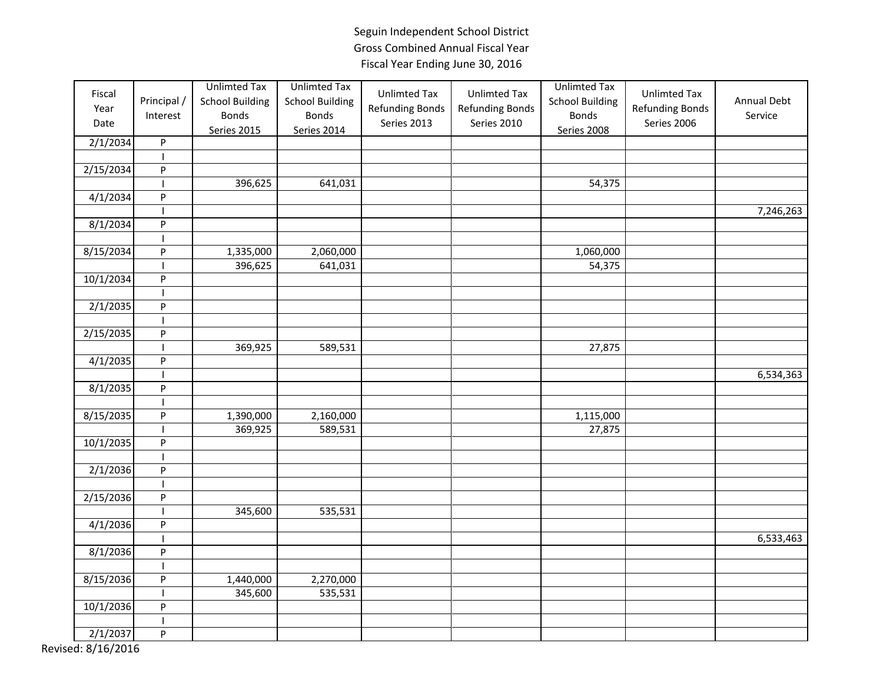| Fiscal<br>Year<br>Date<br>2/1/2034 | Principal /<br>Interest<br>$\sf P$ | <b>Unlimted Tax</b><br><b>School Building</b><br><b>Bonds</b><br><b>Series 2015</b> | <b>Unlimted Tax</b><br><b>School Building</b><br><b>Bonds</b><br>Series 2014 | <b>Unlimted Tax</b><br><b>Refunding Bonds</b><br>Series 2013 | <b>Unlimted Tax</b><br><b>Refunding Bonds</b><br>Series 2010 | <b>Unlimted Tax</b><br><b>School Building</b><br><b>Bonds</b><br>Series 2008 | <b>Unlimted Tax</b><br><b>Refunding Bonds</b><br>Series 2006 | Annual Debt<br>Service |
|------------------------------------|------------------------------------|-------------------------------------------------------------------------------------|------------------------------------------------------------------------------|--------------------------------------------------------------|--------------------------------------------------------------|------------------------------------------------------------------------------|--------------------------------------------------------------|------------------------|
|                                    |                                    |                                                                                     |                                                                              |                                                              |                                                              |                                                                              |                                                              |                        |
| 2/15/2034                          | P                                  |                                                                                     |                                                                              |                                                              |                                                              |                                                                              |                                                              |                        |
|                                    |                                    | 396,625                                                                             | 641,031                                                                      |                                                              |                                                              | 54,375                                                                       |                                                              |                        |
| 4/1/2034                           | $\sf P$                            |                                                                                     |                                                                              |                                                              |                                                              |                                                                              |                                                              |                        |
|                                    |                                    |                                                                                     |                                                                              |                                                              |                                                              |                                                                              |                                                              | 7,246,263              |
| 8/1/2034                           | $\sf P$                            |                                                                                     |                                                                              |                                                              |                                                              |                                                                              |                                                              |                        |
|                                    |                                    |                                                                                     |                                                                              |                                                              |                                                              |                                                                              |                                                              |                        |
| 8/15/2034                          | P                                  | 1,335,000                                                                           | 2,060,000                                                                    |                                                              |                                                              | 1,060,000                                                                    |                                                              |                        |
|                                    |                                    | 396,625                                                                             | 641,031                                                                      |                                                              |                                                              | 54,375                                                                       |                                                              |                        |
| 10/1/2034                          | P                                  |                                                                                     |                                                                              |                                                              |                                                              |                                                                              |                                                              |                        |
|                                    |                                    |                                                                                     |                                                                              |                                                              |                                                              |                                                                              |                                                              |                        |
| 2/1/2035                           | P                                  |                                                                                     |                                                                              |                                                              |                                                              |                                                                              |                                                              |                        |
|                                    |                                    |                                                                                     |                                                                              |                                                              |                                                              |                                                                              |                                                              |                        |
| 2/15/2035                          | $\sf P$                            |                                                                                     |                                                                              |                                                              |                                                              |                                                                              |                                                              |                        |
|                                    |                                    | 369,925                                                                             | 589,531                                                                      |                                                              |                                                              | 27,875                                                                       |                                                              |                        |
| 4/1/2035                           | $\sf P$                            |                                                                                     |                                                                              |                                                              |                                                              |                                                                              |                                                              |                        |
|                                    |                                    |                                                                                     |                                                                              |                                                              |                                                              |                                                                              |                                                              | 6,534,363              |
| 8/1/2035                           | P                                  |                                                                                     |                                                                              |                                                              |                                                              |                                                                              |                                                              |                        |
|                                    |                                    |                                                                                     |                                                                              |                                                              |                                                              |                                                                              |                                                              |                        |
| 8/15/2035                          | $\sf P$                            | 1,390,000                                                                           | 2,160,000                                                                    |                                                              |                                                              | 1,115,000                                                                    |                                                              |                        |
|                                    |                                    | 369,925                                                                             | 589,531                                                                      |                                                              |                                                              | 27,875                                                                       |                                                              |                        |
| 10/1/2035                          | $\sf P$                            |                                                                                     |                                                                              |                                                              |                                                              |                                                                              |                                                              |                        |
|                                    |                                    |                                                                                     |                                                                              |                                                              |                                                              |                                                                              |                                                              |                        |
| 2/1/2036                           | ${\sf P}$                          |                                                                                     |                                                                              |                                                              |                                                              |                                                                              |                                                              |                        |
|                                    | $\mathbf{I}$                       |                                                                                     |                                                                              |                                                              |                                                              |                                                                              |                                                              |                        |
| 2/15/2036                          | $\sf P$                            |                                                                                     |                                                                              |                                                              |                                                              |                                                                              |                                                              |                        |
|                                    |                                    | 345,600                                                                             | 535,531                                                                      |                                                              |                                                              |                                                                              |                                                              |                        |
| 4/1/2036                           | P                                  |                                                                                     |                                                                              |                                                              |                                                              |                                                                              |                                                              |                        |
|                                    |                                    |                                                                                     |                                                                              |                                                              |                                                              |                                                                              |                                                              | 6,533,463              |
| 8/1/2036                           | ${\sf P}$                          |                                                                                     |                                                                              |                                                              |                                                              |                                                                              |                                                              |                        |
|                                    |                                    |                                                                                     |                                                                              |                                                              |                                                              |                                                                              |                                                              |                        |
| 8/15/2036                          | $\sf P$                            | 1,440,000                                                                           | 2,270,000                                                                    |                                                              |                                                              |                                                                              |                                                              |                        |
|                                    | $\mathbf{I}$                       | 345,600                                                                             | 535,531                                                                      |                                                              |                                                              |                                                                              |                                                              |                        |
| 10/1/2036                          | P                                  |                                                                                     |                                                                              |                                                              |                                                              |                                                                              |                                                              |                        |
|                                    |                                    |                                                                                     |                                                                              |                                                              |                                                              |                                                                              |                                                              |                        |
| 2/1/2037                           | P                                  |                                                                                     |                                                                              |                                                              |                                                              |                                                                              |                                                              |                        |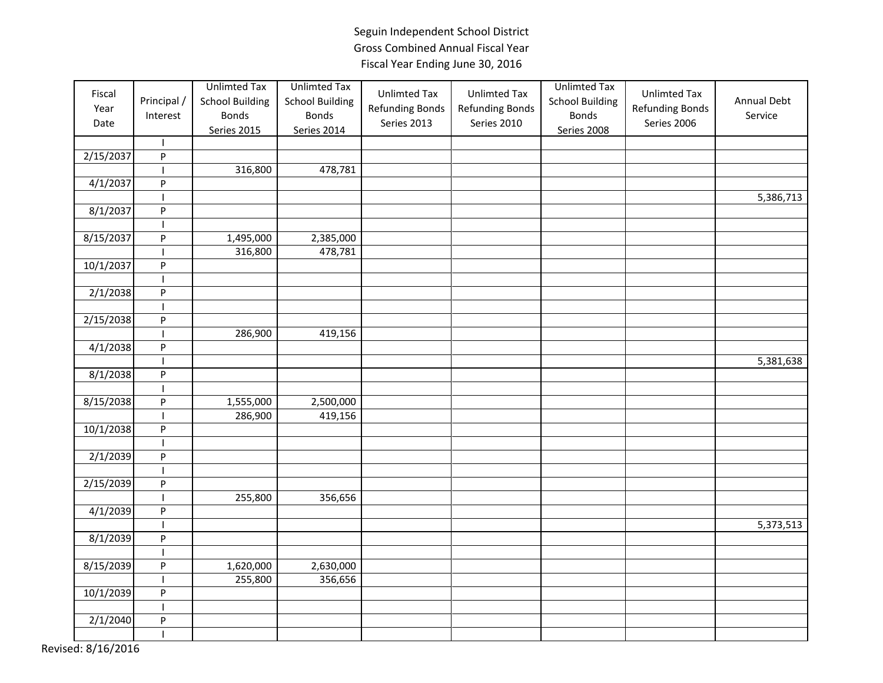| Fiscal<br>Year<br>Date | Principal /<br>Interest<br>$\mathbf{I}$ | <b>Unlimted Tax</b><br><b>School Building</b><br><b>Bonds</b><br><b>Series 2015</b> | <b>Unlimted Tax</b><br><b>School Building</b><br><b>Bonds</b><br>Series 2014 | <b>Unlimted Tax</b><br><b>Refunding Bonds</b><br>Series 2013 | <b>Unlimted Tax</b><br><b>Refunding Bonds</b><br>Series 2010 | <b>Unlimted Tax</b><br><b>School Building</b><br><b>Bonds</b><br>Series 2008 | <b>Unlimted Tax</b><br><b>Refunding Bonds</b><br>Series 2006 | Annual Debt<br>Service |
|------------------------|-----------------------------------------|-------------------------------------------------------------------------------------|------------------------------------------------------------------------------|--------------------------------------------------------------|--------------------------------------------------------------|------------------------------------------------------------------------------|--------------------------------------------------------------|------------------------|
| 2/15/2037              | $\sf P$                                 |                                                                                     |                                                                              |                                                              |                                                              |                                                                              |                                                              |                        |
|                        | $\mathbf{I}$                            | 316,800                                                                             | 478,781                                                                      |                                                              |                                                              |                                                                              |                                                              |                        |
| 4/1/2037               | $\boldsymbol{\mathsf{P}}$               |                                                                                     |                                                                              |                                                              |                                                              |                                                                              |                                                              |                        |
|                        |                                         |                                                                                     |                                                                              |                                                              |                                                              |                                                                              |                                                              | 5,386,713              |
| 8/1/2037               | $\mathsf{P}$                            |                                                                                     |                                                                              |                                                              |                                                              |                                                                              |                                                              |                        |
|                        |                                         |                                                                                     |                                                                              |                                                              |                                                              |                                                                              |                                                              |                        |
| 8/15/2037              | $\sf P$                                 |                                                                                     |                                                                              |                                                              |                                                              |                                                                              |                                                              |                        |
|                        |                                         | 1,495,000<br>316,800                                                                | 2,385,000<br>478,781                                                         |                                                              |                                                              |                                                                              |                                                              |                        |
| 10/1/2037              | ${\sf P}$                               |                                                                                     |                                                                              |                                                              |                                                              |                                                                              |                                                              |                        |
|                        |                                         |                                                                                     |                                                                              |                                                              |                                                              |                                                                              |                                                              |                        |
|                        | $\mathbf{I}$<br>$\sf P$                 |                                                                                     |                                                                              |                                                              |                                                              |                                                                              |                                                              |                        |
| 2/1/2038               |                                         |                                                                                     |                                                                              |                                                              |                                                              |                                                                              |                                                              |                        |
| 2/15/2038              | P                                       |                                                                                     |                                                                              |                                                              |                                                              |                                                                              |                                                              |                        |
|                        |                                         | 286,900                                                                             | 419,156                                                                      |                                                              |                                                              |                                                                              |                                                              |                        |
| 4/1/2038               | $\sf P$                                 |                                                                                     |                                                                              |                                                              |                                                              |                                                                              |                                                              |                        |
|                        |                                         |                                                                                     |                                                                              |                                                              |                                                              |                                                                              |                                                              | 5,381,638              |
| 8/1/2038               | $\sf P$                                 |                                                                                     |                                                                              |                                                              |                                                              |                                                                              |                                                              |                        |
|                        | $\mathsf{I}$                            |                                                                                     |                                                                              |                                                              |                                                              |                                                                              |                                                              |                        |
| 8/15/2038              | P                                       | 1,555,000                                                                           | 2,500,000                                                                    |                                                              |                                                              |                                                                              |                                                              |                        |
|                        |                                         | 286,900                                                                             | 419,156                                                                      |                                                              |                                                              |                                                                              |                                                              |                        |
| 10/1/2038              | ${\sf P}$                               |                                                                                     |                                                                              |                                                              |                                                              |                                                                              |                                                              |                        |
|                        |                                         |                                                                                     |                                                                              |                                                              |                                                              |                                                                              |                                                              |                        |
| 2/1/2039               | $\sf P$                                 |                                                                                     |                                                                              |                                                              |                                                              |                                                                              |                                                              |                        |
|                        |                                         |                                                                                     |                                                                              |                                                              |                                                              |                                                                              |                                                              |                        |
| 2/15/2039              | $\sf P$                                 |                                                                                     |                                                                              |                                                              |                                                              |                                                                              |                                                              |                        |
|                        | $\mathbf{I}$                            | 255,800                                                                             | 356,656                                                                      |                                                              |                                                              |                                                                              |                                                              |                        |
| 4/1/2039               | P                                       |                                                                                     |                                                                              |                                                              |                                                              |                                                                              |                                                              |                        |
|                        |                                         |                                                                                     |                                                                              |                                                              |                                                              |                                                                              |                                                              | 5,373,513              |
| 8/1/2039               | $\overline{P}$                          |                                                                                     |                                                                              |                                                              |                                                              |                                                                              |                                                              |                        |
|                        |                                         |                                                                                     |                                                                              |                                                              |                                                              |                                                                              |                                                              |                        |
| 8/15/2039              | $\sf P$                                 | 1,620,000                                                                           | 2,630,000                                                                    |                                                              |                                                              |                                                                              |                                                              |                        |
|                        |                                         | 255,800                                                                             | 356,656                                                                      |                                                              |                                                              |                                                                              |                                                              |                        |
| 10/1/2039              | $\sf P$                                 |                                                                                     |                                                                              |                                                              |                                                              |                                                                              |                                                              |                        |
|                        | $\mathbf{I}$                            |                                                                                     |                                                                              |                                                              |                                                              |                                                                              |                                                              |                        |
| 2/1/2040               | P                                       |                                                                                     |                                                                              |                                                              |                                                              |                                                                              |                                                              |                        |
|                        |                                         |                                                                                     |                                                                              |                                                              |                                                              |                                                                              |                                                              |                        |
|                        |                                         |                                                                                     |                                                                              |                                                              |                                                              |                                                                              |                                                              |                        |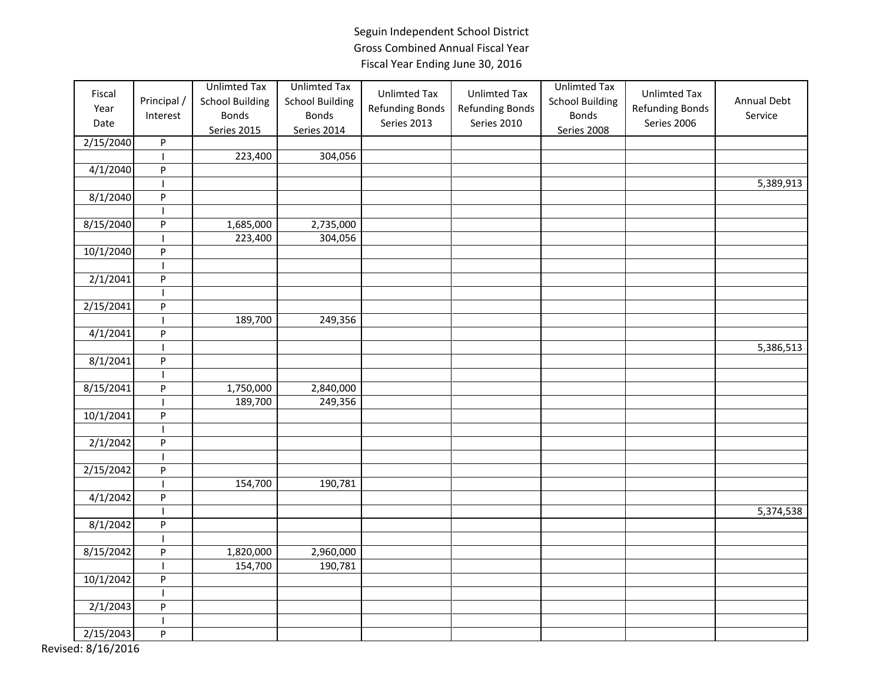| Fiscal<br>Year<br>Date | Principal /<br>Interest   | <b>Unlimted Tax</b><br><b>School Building</b><br><b>Bonds</b><br><b>Series 2015</b> | <b>Unlimted Tax</b><br><b>School Building</b><br><b>Bonds</b><br>Series 2014 | <b>Unlimted Tax</b><br><b>Refunding Bonds</b><br>Series 2013 | <b>Unlimted Tax</b><br><b>Refunding Bonds</b><br>Series 2010 | <b>Unlimted Tax</b><br><b>School Building</b><br><b>Bonds</b><br><b>Series 2008</b> | <b>Unlimted Tax</b><br><b>Refunding Bonds</b><br>Series 2006 | Annual Debt<br>Service |
|------------------------|---------------------------|-------------------------------------------------------------------------------------|------------------------------------------------------------------------------|--------------------------------------------------------------|--------------------------------------------------------------|-------------------------------------------------------------------------------------|--------------------------------------------------------------|------------------------|
| 2/15/2040              | P                         |                                                                                     |                                                                              |                                                              |                                                              |                                                                                     |                                                              |                        |
|                        | I                         | 223,400                                                                             | 304,056                                                                      |                                                              |                                                              |                                                                                     |                                                              |                        |
| 4/1/2040               | P                         |                                                                                     |                                                                              |                                                              |                                                              |                                                                                     |                                                              |                        |
|                        |                           |                                                                                     |                                                                              |                                                              |                                                              |                                                                                     |                                                              | 5,389,913              |
| 8/1/2040               | ${\sf P}$                 |                                                                                     |                                                                              |                                                              |                                                              |                                                                                     |                                                              |                        |
|                        |                           |                                                                                     |                                                                              |                                                              |                                                              |                                                                                     |                                                              |                        |
| 8/15/2040              | P                         | 1,685,000                                                                           | 2,735,000                                                                    |                                                              |                                                              |                                                                                     |                                                              |                        |
|                        |                           | 223,400                                                                             | 304,056                                                                      |                                                              |                                                              |                                                                                     |                                                              |                        |
| 10/1/2040              | P                         |                                                                                     |                                                                              |                                                              |                                                              |                                                                                     |                                                              |                        |
|                        |                           |                                                                                     |                                                                              |                                                              |                                                              |                                                                                     |                                                              |                        |
| 2/1/2041               | P                         |                                                                                     |                                                                              |                                                              |                                                              |                                                                                     |                                                              |                        |
|                        |                           |                                                                                     |                                                                              |                                                              |                                                              |                                                                                     |                                                              |                        |
| 2/15/2041              | ${\sf P}$                 |                                                                                     |                                                                              |                                                              |                                                              |                                                                                     |                                                              |                        |
|                        |                           | 189,700                                                                             | 249,356                                                                      |                                                              |                                                              |                                                                                     |                                                              |                        |
| 4/1/2041               | P                         |                                                                                     |                                                                              |                                                              |                                                              |                                                                                     |                                                              |                        |
|                        | $\mathbf{I}$              |                                                                                     |                                                                              |                                                              |                                                              |                                                                                     |                                                              | 5,386,513              |
| 8/1/2041               | P                         |                                                                                     |                                                                              |                                                              |                                                              |                                                                                     |                                                              |                        |
|                        |                           |                                                                                     |                                                                              |                                                              |                                                              |                                                                                     |                                                              |                        |
| 8/15/2041              | P                         | 1,750,000                                                                           | 2,840,000                                                                    |                                                              |                                                              |                                                                                     |                                                              |                        |
|                        |                           | 189,700                                                                             | 249,356                                                                      |                                                              |                                                              |                                                                                     |                                                              |                        |
| 10/1/2041              | $\boldsymbol{\mathsf{P}}$ |                                                                                     |                                                                              |                                                              |                                                              |                                                                                     |                                                              |                        |
|                        | $\mathsf{l}$              |                                                                                     |                                                                              |                                                              |                                                              |                                                                                     |                                                              |                        |
| 2/1/2042               | $\boldsymbol{\mathsf{P}}$ |                                                                                     |                                                                              |                                                              |                                                              |                                                                                     |                                                              |                        |
|                        |                           |                                                                                     |                                                                              |                                                              |                                                              |                                                                                     |                                                              |                        |
| 2/15/2042              | P                         |                                                                                     |                                                                              |                                                              |                                                              |                                                                                     |                                                              |                        |
|                        |                           | 154,700                                                                             | 190,781                                                                      |                                                              |                                                              |                                                                                     |                                                              |                        |
| 4/1/2042               | P                         |                                                                                     |                                                                              |                                                              |                                                              |                                                                                     |                                                              |                        |
|                        |                           |                                                                                     |                                                                              |                                                              |                                                              |                                                                                     |                                                              | 5,374,538              |
| 8/1/2042               | $\boldsymbol{\mathsf{P}}$ |                                                                                     |                                                                              |                                                              |                                                              |                                                                                     |                                                              |                        |
|                        |                           |                                                                                     |                                                                              |                                                              |                                                              |                                                                                     |                                                              |                        |
| 8/15/2042              | P                         | 1,820,000                                                                           | 2,960,000                                                                    |                                                              |                                                              |                                                                                     |                                                              |                        |
|                        | $\overline{\phantom{a}}$  | 154,700                                                                             | 190,781                                                                      |                                                              |                                                              |                                                                                     |                                                              |                        |
| 10/1/2042              | P                         |                                                                                     |                                                                              |                                                              |                                                              |                                                                                     |                                                              |                        |
|                        |                           |                                                                                     |                                                                              |                                                              |                                                              |                                                                                     |                                                              |                        |
| 2/1/2043               | P                         |                                                                                     |                                                                              |                                                              |                                                              |                                                                                     |                                                              |                        |
|                        |                           |                                                                                     |                                                                              |                                                              |                                                              |                                                                                     |                                                              |                        |
| 2/15/2043              | P                         |                                                                                     |                                                                              |                                                              |                                                              |                                                                                     |                                                              |                        |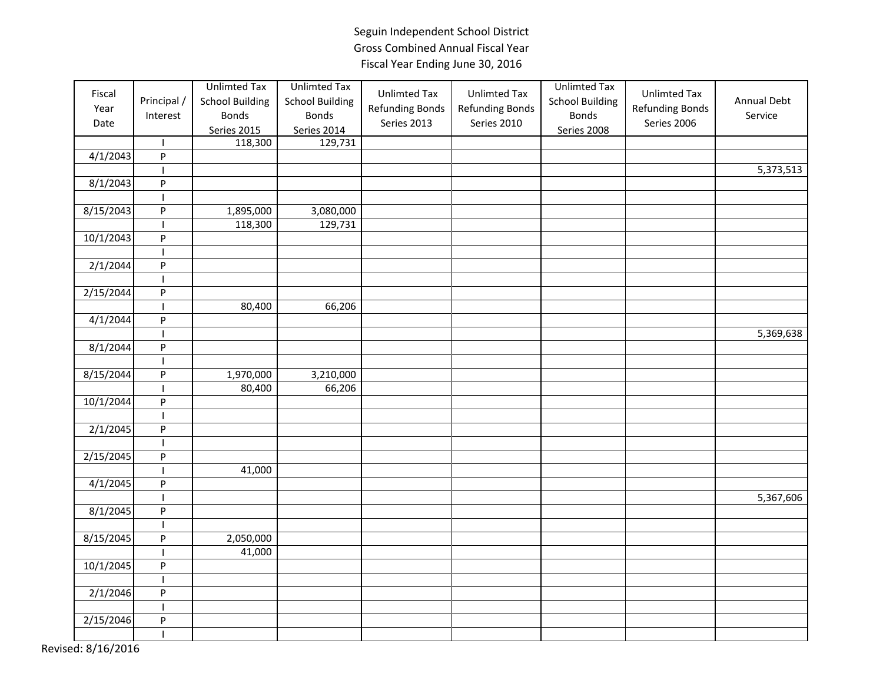| Fiscal<br>Year<br>Date | Principal /<br>Interest                                         | <b>Unlimted Tax</b><br><b>School Building</b><br><b>Bonds</b><br>Series 2015 | <b>Unlimted Tax</b><br><b>School Building</b><br><b>Bonds</b><br>Series 2014 | <b>Unlimted Tax</b><br><b>Refunding Bonds</b><br>Series 2013 | <b>Unlimted Tax</b><br><b>Refunding Bonds</b><br>Series 2010 | <b>Unlimted Tax</b><br><b>School Building</b><br><b>Bonds</b><br>Series 2008 | <b>Unlimted Tax</b><br><b>Refunding Bonds</b><br>Series 2006 | Annual Debt<br>Service |
|------------------------|-----------------------------------------------------------------|------------------------------------------------------------------------------|------------------------------------------------------------------------------|--------------------------------------------------------------|--------------------------------------------------------------|------------------------------------------------------------------------------|--------------------------------------------------------------|------------------------|
|                        | $\mathbf{I}$                                                    | 118,300                                                                      | 129,731                                                                      |                                                              |                                                              |                                                                              |                                                              |                        |
| 4/1/2043               | ${\sf P}$                                                       |                                                                              |                                                                              |                                                              |                                                              |                                                                              |                                                              |                        |
|                        |                                                                 |                                                                              |                                                                              |                                                              |                                                              |                                                                              |                                                              | 5,373,513              |
| 8/1/2043               | P                                                               |                                                                              |                                                                              |                                                              |                                                              |                                                                              |                                                              |                        |
|                        |                                                                 |                                                                              |                                                                              |                                                              |                                                              |                                                                              |                                                              |                        |
| 8/15/2043              | ${\sf P}$                                                       | 1,895,000                                                                    | 3,080,000                                                                    |                                                              |                                                              |                                                                              |                                                              |                        |
|                        |                                                                 | 118,300                                                                      | 129,731                                                                      |                                                              |                                                              |                                                                              |                                                              |                        |
| 10/1/2043              | ${\sf P}$                                                       |                                                                              |                                                                              |                                                              |                                                              |                                                                              |                                                              |                        |
|                        |                                                                 |                                                                              |                                                                              |                                                              |                                                              |                                                                              |                                                              |                        |
| 2/1/2044               | $\boldsymbol{\mathsf{P}}$                                       |                                                                              |                                                                              |                                                              |                                                              |                                                                              |                                                              |                        |
|                        | I.                                                              |                                                                              |                                                                              |                                                              |                                                              |                                                                              |                                                              |                        |
| 2/15/2044              | ${\sf P}$                                                       |                                                                              |                                                                              |                                                              |                                                              |                                                                              |                                                              |                        |
|                        |                                                                 | 80,400                                                                       | 66,206                                                                       |                                                              |                                                              |                                                                              |                                                              |                        |
| 4/1/2044               | P                                                               |                                                                              |                                                                              |                                                              |                                                              |                                                                              |                                                              |                        |
|                        |                                                                 |                                                                              |                                                                              |                                                              |                                                              |                                                                              |                                                              | 5,369,638              |
| 8/1/2044               | ${\sf P}$                                                       |                                                                              |                                                                              |                                                              |                                                              |                                                                              |                                                              |                        |
|                        |                                                                 |                                                                              |                                                                              |                                                              |                                                              |                                                                              |                                                              |                        |
| 8/15/2044              | ${\sf P}$                                                       | 1,970,000                                                                    | 3,210,000                                                                    |                                                              |                                                              |                                                                              |                                                              |                        |
|                        |                                                                 | 80,400                                                                       | 66,206                                                                       |                                                              |                                                              |                                                                              |                                                              |                        |
| 10/1/2044              | $\mathsf{P}% _{T}=\mathsf{P}_{T}\!\left( \mathsf{P}_{T}\right)$ |                                                                              |                                                                              |                                                              |                                                              |                                                                              |                                                              |                        |
|                        |                                                                 |                                                                              |                                                                              |                                                              |                                                              |                                                                              |                                                              |                        |
| 2/1/2045               | P                                                               |                                                                              |                                                                              |                                                              |                                                              |                                                                              |                                                              |                        |
|                        |                                                                 |                                                                              |                                                                              |                                                              |                                                              |                                                                              |                                                              |                        |
| 2/15/2045              | ${\sf P}$                                                       |                                                                              |                                                                              |                                                              |                                                              |                                                                              |                                                              |                        |
|                        |                                                                 | 41,000                                                                       |                                                                              |                                                              |                                                              |                                                                              |                                                              |                        |
| 4/1/2045               | $\boldsymbol{\mathsf{P}}$                                       |                                                                              |                                                                              |                                                              |                                                              |                                                                              |                                                              |                        |
|                        |                                                                 |                                                                              |                                                                              |                                                              |                                                              |                                                                              |                                                              | 5,367,606              |
| 8/1/2045               | $\boldsymbol{\mathsf{P}}$                                       |                                                                              |                                                                              |                                                              |                                                              |                                                                              |                                                              |                        |
|                        |                                                                 |                                                                              |                                                                              |                                                              |                                                              |                                                                              |                                                              |                        |
| 8/15/2045              | P                                                               | 2,050,000                                                                    |                                                                              |                                                              |                                                              |                                                                              |                                                              |                        |
|                        |                                                                 | 41,000                                                                       |                                                                              |                                                              |                                                              |                                                                              |                                                              |                        |
| 10/1/2045              | ${\sf P}$                                                       |                                                                              |                                                                              |                                                              |                                                              |                                                                              |                                                              |                        |
|                        | $\mathsf{l}$                                                    |                                                                              |                                                                              |                                                              |                                                              |                                                                              |                                                              |                        |
| 2/1/2046               | P                                                               |                                                                              |                                                                              |                                                              |                                                              |                                                                              |                                                              |                        |
|                        |                                                                 |                                                                              |                                                                              |                                                              |                                                              |                                                                              |                                                              |                        |
| 2/15/2046              | P                                                               |                                                                              |                                                                              |                                                              |                                                              |                                                                              |                                                              |                        |
|                        | $\overline{1}$                                                  |                                                                              |                                                                              |                                                              |                                                              |                                                                              |                                                              |                        |